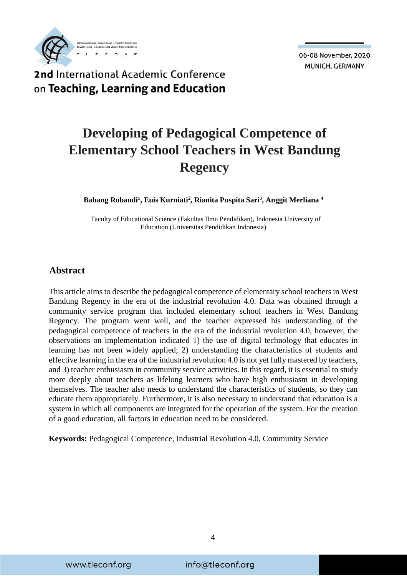

2nd International Academic Conference on Teaching, Learning and Education

# **Developing of Pedagogical Competence of Elementary School Teachers in West Bandung Regency**

**Babang Robandi<sup>1</sup> , Euis Kurniati<sup>2</sup> , Rianita Puspita Sari<sup>3</sup> , Anggit Merliana <sup>4</sup>**

Faculty of Educational Science (Fakultas Ilmu Pendidikan), Indonesia University of Education (Universitas Pendidikan Indonesia)

#### **Abstract**

This article aims to describe the pedagogical competence of elementary school teachers in West Bandung Regency in the era of the industrial revolution 4.0. Data was obtained through a community service program that included elementary school teachers in West Bandung Regency. The program went well, and the teacher expressed his understanding of the pedagogical competence of teachers in the era of the industrial revolution 4.0, however, the observations on implementation indicated 1) the use of digital technology that educates in learning has not been widely applied; 2) understanding the characteristics of students and effective learning in the era of the industrial revolution 4.0 is not yet fully mastered by teachers, and 3) teacher enthusiasm in community service activities. In this regard, it is essential to study more deeply about teachers as lifelong learners who have high enthusiasm in developing themselves. The teacher also needs to understand the characteristics of students, so they can educate them appropriately. Furthermore, it is also necessary to understand that education is a system in which all components are integrated for the operation of the system. For the creation of a good education, all factors in education need to be considered.

**Keywords:** Pedagogical Competence, Industrial Revolution 4.0, Community Service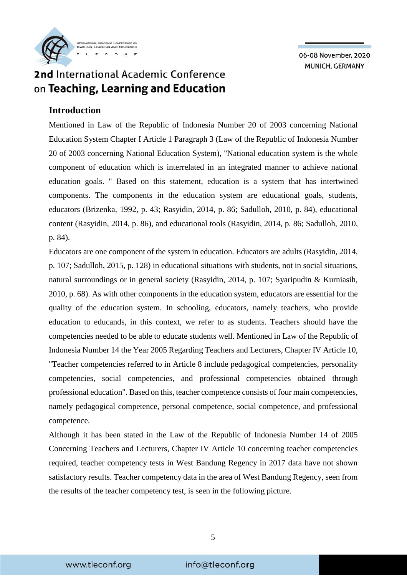

### **Introduction**

Mentioned in Law of the Republic of Indonesia Number 20 of 2003 concerning National Education System Chapter I Article 1 Paragraph 3 (Law of the Republic of Indonesia Number 20 of 2003 concerning National Education System), "National education system is the whole component of education which is interrelated in an integrated manner to achieve national education goals. " Based on this statement, education is a system that has intertwined components. The components in the education system are educational goals, students, educators (Brizenka, 1992, p. 43; Rasyidin, 2014, p. 86; Sadulloh, 2010, p. 84), educational content (Rasyidin, 2014, p. 86), and educational tools (Rasyidin, 2014, p. 86; Sadulloh, 2010, p. 84).

Educators are one component of the system in education. Educators are adults (Rasyidin, 2014, p. 107; Sadulloh, 2015, p. 128) in educational situations with students, not in social situations, natural surroundings or in general society (Rasyidin, 2014, p. 107; Syaripudin & Kurniasih, 2010, p. 68). As with other components in the education system, educators are essential for the quality of the education system. In schooling, educators, namely teachers, who provide education to educands, in this context, we refer to as students. Teachers should have the competencies needed to be able to educate students well. Mentioned in Law of the Republic of Indonesia Number 14 the Year 2005 Regarding Teachers and Lecturers, Chapter IV Article 10, "Teacher competencies referred to in Article 8 include pedagogical competencies, personality competencies, social competencies, and professional competencies obtained through professional education". Based on this, teacher competence consists of four main competencies, namely pedagogical competence, personal competence, social competence, and professional competence.

Although it has been stated in the Law of the Republic of Indonesia Number 14 of 2005 Concerning Teachers and Lecturers, Chapter IV Article 10 concerning teacher competencies required, teacher competency tests in West Bandung Regency in 2017 data have not shown satisfactory results. Teacher competency data in the area of West Bandung Regency, seen from the results of the teacher competency test, is seen in the following picture.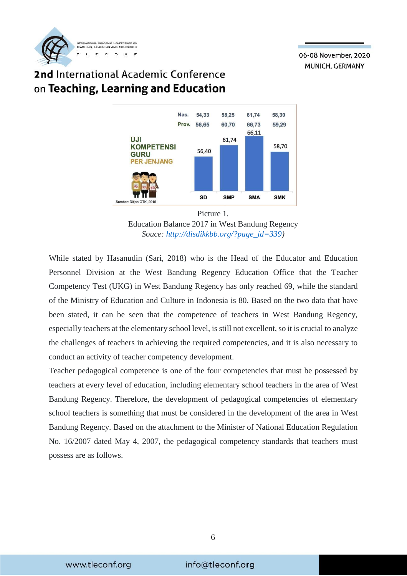

## 2nd International Academic Conference on Teaching, Learning and Education



Education Balance 2017 in West Bandung Regency *Souce: [http://disdikkbb.org/?page\\_id=339\)](http://disdikkbb.org/?page_id=339)*

While stated by Hasanudin (Sari, 2018) who is the Head of the Educator and Education Personnel Division at the West Bandung Regency Education Office that the Teacher Competency Test (UKG) in West Bandung Regency has only reached 69, while the standard of the Ministry of Education and Culture in Indonesia is 80. Based on the two data that have been stated, it can be seen that the competence of teachers in West Bandung Regency, especially teachers at the elementary school level, is still not excellent, so it is crucial to analyze the challenges of teachers in achieving the required competencies, and it is also necessary to conduct an activity of teacher competency development.

Teacher pedagogical competence is one of the four competencies that must be possessed by teachers at every level of education, including elementary school teachers in the area of West Bandung Regency. Therefore, the development of pedagogical competencies of elementary school teachers is something that must be considered in the development of the area in West Bandung Regency. Based on the attachment to the Minister of National Education Regulation No. 16/2007 dated May 4, 2007, the pedagogical competency standards that teachers must possess are as follows.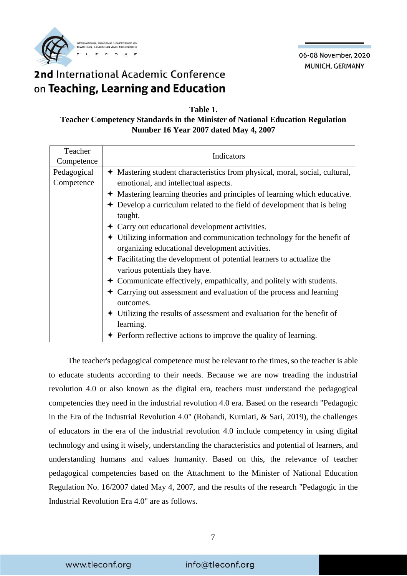

#### **Table 1.**

### **Teacher Competency Standards in the Minister of National Education Regulation Number 16 Year 2007 dated May 4, 2007**

| Teacher<br>Competence     | Indicators                                                                                                                                                                                                                                                                                                                                                                                                                                                                                                                                                                                                                                                                                                                                |
|---------------------------|-------------------------------------------------------------------------------------------------------------------------------------------------------------------------------------------------------------------------------------------------------------------------------------------------------------------------------------------------------------------------------------------------------------------------------------------------------------------------------------------------------------------------------------------------------------------------------------------------------------------------------------------------------------------------------------------------------------------------------------------|
| Pedagogical<br>Competence | ← Mastering student characteristics from physical, moral, social, cultural,<br>emotional, and intellectual aspects.<br>+ Mastering learning theories and principles of learning which educative.                                                                                                                                                                                                                                                                                                                                                                                                                                                                                                                                          |
|                           | $\div$ Develop a curriculum related to the field of development that is being<br>taught.<br>$\div$ Carry out educational development activities.<br>$\div$ Utilizing information and communication technology for the benefit of<br>organizing educational development activities.<br>$\div$ Facilitating the development of potential learners to actualize the<br>various potentials they have.<br>• Communicate effectively, empathically, and politely with students.<br>$\div$ Carrying out assessment and evaluation of the process and learning<br>outcomes.<br>$\div$ Utilizing the results of assessment and evaluation for the benefit of<br>learning.<br>$\div$ Perform reflective actions to improve the quality of learning. |

The teacher's pedagogical competence must be relevant to the times, so the teacher is able to educate students according to their needs. Because we are now treading the industrial revolution 4.0 or also known as the digital era, teachers must understand the pedagogical competencies they need in the industrial revolution 4.0 era. Based on the research "Pedagogic in the Era of the Industrial Revolution 4.0" (Robandi, Kurniati, & Sari, 2019), the challenges of educators in the era of the industrial revolution 4.0 include competency in using digital technology and using it wisely, understanding the characteristics and potential of learners, and understanding humans and values humanity. Based on this, the relevance of teacher pedagogical competencies based on the Attachment to the Minister of National Education Regulation No. 16/2007 dated May 4, 2007, and the results of the research "Pedagogic in the Industrial Revolution Era 4.0" are as follows.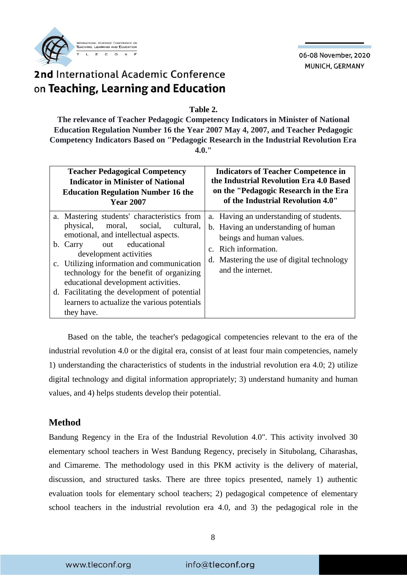

## 2nd International Academic Conference on Teaching, Learning and Education

**Table 2.** 

**The relevance of Teacher Pedagogic Competency Indicators in Minister of National Education Regulation Number 16 the Year 2007 May 4, 2007, and Teacher Pedagogic Competency Indicators Based on "Pedagogic Research in the Industrial Revolution Era 4.0."**

| <b>Teacher Pedagogical Competency</b>                                                                                                                                                                                                                                                                                                                                                                                                | <b>Indicators of Teacher Competence in</b>                                                                                                                                                            |
|--------------------------------------------------------------------------------------------------------------------------------------------------------------------------------------------------------------------------------------------------------------------------------------------------------------------------------------------------------------------------------------------------------------------------------------|-------------------------------------------------------------------------------------------------------------------------------------------------------------------------------------------------------|
| <b>Indicator in Minister of National</b>                                                                                                                                                                                                                                                                                                                                                                                             | the Industrial Revolution Era 4.0 Based                                                                                                                                                               |
| <b>Education Regulation Number 16 the</b>                                                                                                                                                                                                                                                                                                                                                                                            | on the "Pedagogic Research in the Era                                                                                                                                                                 |
| <b>Year 2007</b>                                                                                                                                                                                                                                                                                                                                                                                                                     | of the Industrial Revolution 4.0"                                                                                                                                                                     |
| a. Mastering students' characteristics from<br>moral, social, cultural,<br>physical,<br>emotional, and intellectual aspects.<br>out educational<br>b. Carry<br>development activities<br>c. Utilizing information and communication<br>technology for the benefit of organizing<br>educational development activities.<br>d. Facilitating the development of potential<br>learners to actualize the various potentials<br>they have. | a. Having an understanding of students.<br>b. Having an understanding of human<br>beings and human values.<br>c. Rich information.<br>d. Mastering the use of digital technology<br>and the internet. |

Based on the table, the teacher's pedagogical competencies relevant to the era of the industrial revolution 4.0 or the digital era, consist of at least four main competencies, namely 1) understanding the characteristics of students in the industrial revolution era 4.0; 2) utilize digital technology and digital information appropriately; 3) understand humanity and human values, and 4) helps students develop their potential.

### **Method**

Bandung Regency in the Era of the Industrial Revolution 4.0". This activity involved 30 elementary school teachers in West Bandung Regency, precisely in Situbolang, Ciharashas, and Cimareme. The methodology used in this PKM activity is the delivery of material, discussion, and structured tasks. There are three topics presented, namely 1) authentic evaluation tools for elementary school teachers; 2) pedagogical competence of elementary school teachers in the industrial revolution era 4.0, and 3) the pedagogical role in the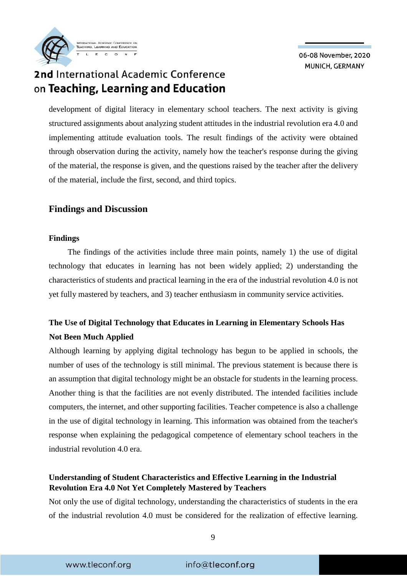2nd International Academic Conference on Teaching, Learning and Education

**TEACHING, LEARNING AND EDUCATION** 

development of digital literacy in elementary school teachers. The next activity is giving structured assignments about analyzing student attitudes in the industrial revolution era 4.0 and implementing attitude evaluation tools. The result findings of the activity were obtained through observation during the activity, namely how the teacher's response during the giving of the material, the response is given, and the questions raised by the teacher after the delivery of the material, include the first, second, and third topics.

### **Findings and Discussion**

#### **Findings**

The findings of the activities include three main points, namely 1) the use of digital technology that educates in learning has not been widely applied; 2) understanding the characteristics of students and practical learning in the era of the industrial revolution 4.0 is not yet fully mastered by teachers, and 3) teacher enthusiasm in community service activities.

### **The Use of Digital Technology that Educates in Learning in Elementary Schools Has Not Been Much Applied**

Although learning by applying digital technology has begun to be applied in schools, the number of uses of the technology is still minimal. The previous statement is because there is an assumption that digital technology might be an obstacle for students in the learning process. Another thing is that the facilities are not evenly distributed. The intended facilities include computers, the internet, and other supporting facilities. Teacher competence is also a challenge in the use of digital technology in learning. This information was obtained from the teacher's response when explaining the pedagogical competence of elementary school teachers in the industrial revolution 4.0 era.

### **Understanding of Student Characteristics and Effective Learning in the Industrial Revolution Era 4.0 Not Yet Completely Mastered by Teachers**

Not only the use of digital technology, understanding the characteristics of students in the era of the industrial revolution 4.0 must be considered for the realization of effective learning.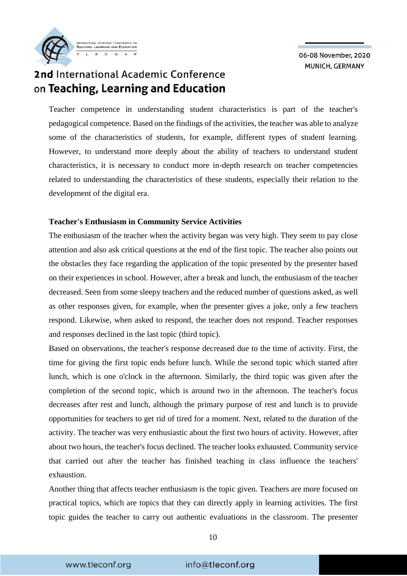

### 2nd International Academic Conference on Teaching, Learning and Education

Teacher competence in understanding student characteristics is part of the teacher's pedagogical competence. Based on the findings of the activities, the teacher was able to analyze some of the characteristics of students, for example, different types of student learning. However, to understand more deeply about the ability of teachers to understand student characteristics, it is necessary to conduct more in-depth research on teacher competencies related to understanding the characteristics of these students, especially their relation to the development of the digital era.

### **Teacher's Enthusiasm in Community Service Activities**

The enthusiasm of the teacher when the activity began was very high. They seem to pay close attention and also ask critical questions at the end of the first topic. The teacher also points out the obstacles they face regarding the application of the topic presented by the presenter based on their experiences in school. However, after a break and lunch, the enthusiasm of the teacher decreased. Seen from some sleepy teachers and the reduced number of questions asked, as well as other responses given, for example, when the presenter gives a joke, only a few teachers respond. Likewise, when asked to respond, the teacher does not respond. Teacher responses and responses declined in the last topic (third topic).

Based on observations, the teacher's response decreased due to the time of activity. First, the time for giving the first topic ends before lunch. While the second topic which started after lunch, which is one o'clock in the afternoon. Similarly, the third topic was given after the completion of the second topic, which is around two in the afternoon. The teacher's focus decreases after rest and lunch, although the primary purpose of rest and lunch is to provide opportunities for teachers to get rid of tired for a moment. Next, related to the duration of the activity. The teacher was very enthusiastic about the first two hours of activity. However, after about two hours, the teacher's focus declined. The teacher looks exhausted. Community service that carried out after the teacher has finished teaching in class influence the teachers' exhaustion.

Another thing that affects teacher enthusiasm is the topic given. Teachers are more focused on practical topics, which are topics that they can directly apply in learning activities. The first topic guides the teacher to carry out authentic evaluations in the classroom. The presenter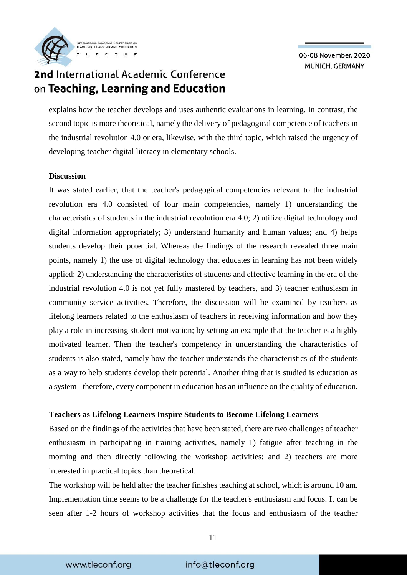## 2nd International Academic Conference on Teaching, Learning and Education

**TEACHING, LEARNING AND EDUCAT** 

explains how the teacher develops and uses authentic evaluations in learning. In contrast, the second topic is more theoretical, namely the delivery of pedagogical competence of teachers in the industrial revolution 4.0 or era, likewise, with the third topic, which raised the urgency of developing teacher digital literacy in elementary schools.

#### **Discussion**

It was stated earlier, that the teacher's pedagogical competencies relevant to the industrial revolution era 4.0 consisted of four main competencies, namely 1) understanding the characteristics of students in the industrial revolution era 4.0; 2) utilize digital technology and digital information appropriately; 3) understand humanity and human values; and 4) helps students develop their potential. Whereas the findings of the research revealed three main points, namely 1) the use of digital technology that educates in learning has not been widely applied; 2) understanding the characteristics of students and effective learning in the era of the industrial revolution 4.0 is not yet fully mastered by teachers, and 3) teacher enthusiasm in community service activities. Therefore, the discussion will be examined by teachers as lifelong learners related to the enthusiasm of teachers in receiving information and how they play a role in increasing student motivation; by setting an example that the teacher is a highly motivated learner. Then the teacher's competency in understanding the characteristics of students is also stated, namely how the teacher understands the characteristics of the students as a way to help students develop their potential. Another thing that is studied is education as a system - therefore, every component in education has an influence on the quality of education.

#### **Teachers as Lifelong Learners Inspire Students to Become Lifelong Learners**

Based on the findings of the activities that have been stated, there are two challenges of teacher enthusiasm in participating in training activities, namely 1) fatigue after teaching in the morning and then directly following the workshop activities; and 2) teachers are more interested in practical topics than theoretical.

The workshop will be held after the teacher finishes teaching at school, which is around 10 am. Implementation time seems to be a challenge for the teacher's enthusiasm and focus. It can be seen after 1-2 hours of workshop activities that the focus and enthusiasm of the teacher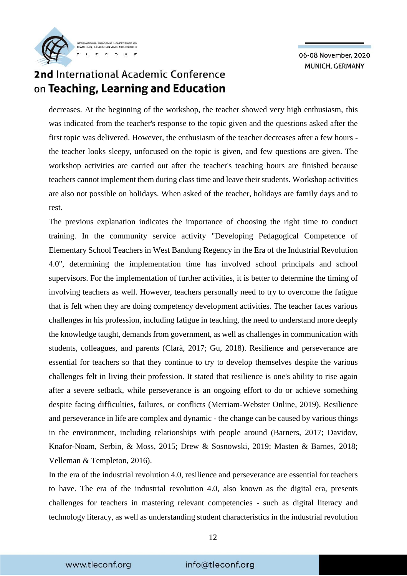

## 2nd International Academic Conference on Teaching, Learning and Education

decreases. At the beginning of the workshop, the teacher showed very high enthusiasm, this was indicated from the teacher's response to the topic given and the questions asked after the first topic was delivered. However, the enthusiasm of the teacher decreases after a few hours the teacher looks sleepy, unfocused on the topic is given, and few questions are given. The workshop activities are carried out after the teacher's teaching hours are finished because teachers cannot implement them during class time and leave their students. Workshop activities are also not possible on holidays. When asked of the teacher, holidays are family days and to rest.

The previous explanation indicates the importance of choosing the right time to conduct training. In the community service activity "Developing Pedagogical Competence of Elementary School Teachers in West Bandung Regency in the Era of the Industrial Revolution 4.0", determining the implementation time has involved school principals and school supervisors. For the implementation of further activities, it is better to determine the timing of involving teachers as well. However, teachers personally need to try to overcome the fatigue that is felt when they are doing competency development activities. The teacher faces various challenges in his profession, including fatigue in teaching, the need to understand more deeply the knowledge taught, demands from government, as well as challenges in communication with students, colleagues, and parents (Clarà, 2017; Gu, 2018). Resilience and perseverance are essential for teachers so that they continue to try to develop themselves despite the various challenges felt in living their profession. It stated that resilience is one's ability to rise again after a severe setback, while perseverance is an ongoing effort to do or achieve something despite facing difficulties, failures, or conflicts (Merriam-Webster Online, 2019). Resilience and perseverance in life are complex and dynamic - the change can be caused by various things in the environment, including relationships with people around (Barners, 2017; Davidov, Knafor-Noam, Serbin, & Moss, 2015; Drew & Sosnowski, 2019; Masten & Barnes, 2018; Velleman & Templeton, 2016).

In the era of the industrial revolution 4.0, resilience and perseverance are essential for teachers to have. The era of the industrial revolution 4.0, also known as the digital era, presents challenges for teachers in mastering relevant competencies - such as digital literacy and technology literacy, as well as understanding student characteristics in the industrial revolution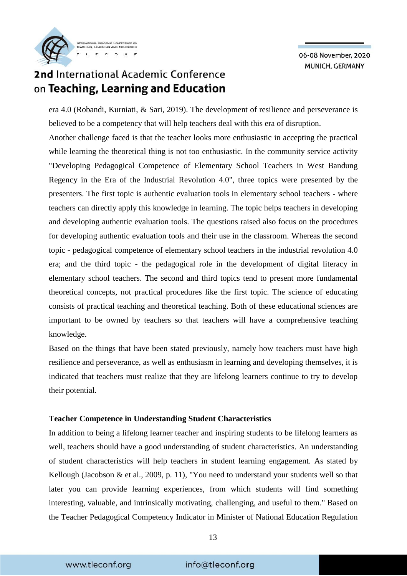

## 2nd International Academic Conference on Teaching, Learning and Education

era 4.0 (Robandi, Kurniati, & Sari, 2019). The development of resilience and perseverance is believed to be a competency that will help teachers deal with this era of disruption.

Another challenge faced is that the teacher looks more enthusiastic in accepting the practical while learning the theoretical thing is not too enthusiastic. In the community service activity "Developing Pedagogical Competence of Elementary School Teachers in West Bandung Regency in the Era of the Industrial Revolution 4.0", three topics were presented by the presenters. The first topic is authentic evaluation tools in elementary school teachers - where teachers can directly apply this knowledge in learning. The topic helps teachers in developing and developing authentic evaluation tools. The questions raised also focus on the procedures for developing authentic evaluation tools and their use in the classroom. Whereas the second topic - pedagogical competence of elementary school teachers in the industrial revolution 4.0 era; and the third topic - the pedagogical role in the development of digital literacy in elementary school teachers. The second and third topics tend to present more fundamental theoretical concepts, not practical procedures like the first topic. The science of educating consists of practical teaching and theoretical teaching. Both of these educational sciences are important to be owned by teachers so that teachers will have a comprehensive teaching knowledge.

Based on the things that have been stated previously, namely how teachers must have high resilience and perseverance, as well as enthusiasm in learning and developing themselves, it is indicated that teachers must realize that they are lifelong learners continue to try to develop their potential.

#### **Teacher Competence in Understanding Student Characteristics**

In addition to being a lifelong learner teacher and inspiring students to be lifelong learners as well, teachers should have a good understanding of student characteristics. An understanding of student characteristics will help teachers in student learning engagement. As stated by Kellough (Jacobson & et al., 2009, p. 11), "You need to understand your students well so that later you can provide learning experiences, from which students will find something interesting, valuable, and intrinsically motivating, challenging, and useful to them." Based on the Teacher Pedagogical Competency Indicator in Minister of National Education Regulation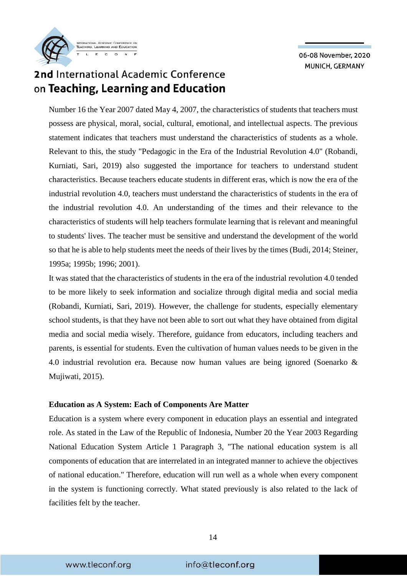

## 2nd International Academic Conference on Teaching, Learning and Education

Number 16 the Year 2007 dated May 4, 2007, the characteristics of students that teachers must possess are physical, moral, social, cultural, emotional, and intellectual aspects. The previous statement indicates that teachers must understand the characteristics of students as a whole. Relevant to this, the study "Pedagogic in the Era of the Industrial Revolution 4.0" (Robandi, Kurniati, Sari, 2019) also suggested the importance for teachers to understand student characteristics. Because teachers educate students in different eras, which is now the era of the industrial revolution 4.0, teachers must understand the characteristics of students in the era of the industrial revolution 4.0. An understanding of the times and their relevance to the characteristics of students will help teachers formulate learning that is relevant and meaningful to students' lives. The teacher must be sensitive and understand the development of the world so that he is able to help students meet the needs of their lives by the times (Budi, 2014; Steiner, 1995a; 1995b; 1996; 2001).

It was stated that the characteristics of students in the era of the industrial revolution 4.0 tended to be more likely to seek information and socialize through digital media and social media (Robandi, Kurniati, Sari, 2019). However, the challenge for students, especially elementary school students, is that they have not been able to sort out what they have obtained from digital media and social media wisely. Therefore, guidance from educators, including teachers and parents, is essential for students. Even the cultivation of human values needs to be given in the 4.0 industrial revolution era. Because now human values are being ignored (Soenarko & Mujiwati, 2015).

#### **Education as A System: Each of Components Are Matter**

Education is a system where every component in education plays an essential and integrated role. As stated in the Law of the Republic of Indonesia, Number 20 the Year 2003 Regarding National Education System Article 1 Paragraph 3, "The national education system is all components of education that are interrelated in an integrated manner to achieve the objectives of national education." Therefore, education will run well as a whole when every component in the system is functioning correctly. What stated previously is also related to the lack of facilities felt by the teacher.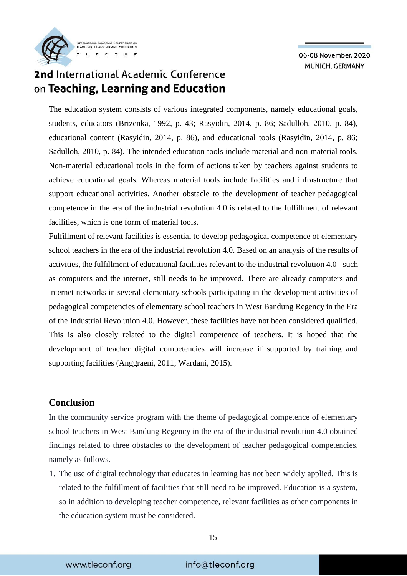

The education system consists of various integrated components, namely educational goals, students, educators (Brizenka, 1992, p. 43; Rasyidin, 2014, p. 86; Sadulloh, 2010, p. 84), educational content (Rasyidin, 2014, p. 86), and educational tools (Rasyidin, 2014, p. 86; Sadulloh, 2010, p. 84). The intended education tools include material and non-material tools. Non-material educational tools in the form of actions taken by teachers against students to achieve educational goals. Whereas material tools include facilities and infrastructure that support educational activities. Another obstacle to the development of teacher pedagogical competence in the era of the industrial revolution 4.0 is related to the fulfillment of relevant facilities, which is one form of material tools.

Fulfillment of relevant facilities is essential to develop pedagogical competence of elementary school teachers in the era of the industrial revolution 4.0. Based on an analysis of the results of activities, the fulfillment of educational facilities relevant to the industrial revolution 4.0 - such as computers and the internet, still needs to be improved. There are already computers and internet networks in several elementary schools participating in the development activities of pedagogical competencies of elementary school teachers in West Bandung Regency in the Era of the Industrial Revolution 4.0. However, these facilities have not been considered qualified. This is also closely related to the digital competence of teachers. It is hoped that the development of teacher digital competencies will increase if supported by training and supporting facilities (Anggraeni, 2011; Wardani, 2015).

### **Conclusion**

In the community service program with the theme of pedagogical competence of elementary school teachers in West Bandung Regency in the era of the industrial revolution 4.0 obtained findings related to three obstacles to the development of teacher pedagogical competencies, namely as follows.

1. The use of digital technology that educates in learning has not been widely applied. This is related to the fulfillment of facilities that still need to be improved. Education is a system, so in addition to developing teacher competence, relevant facilities as other components in the education system must be considered.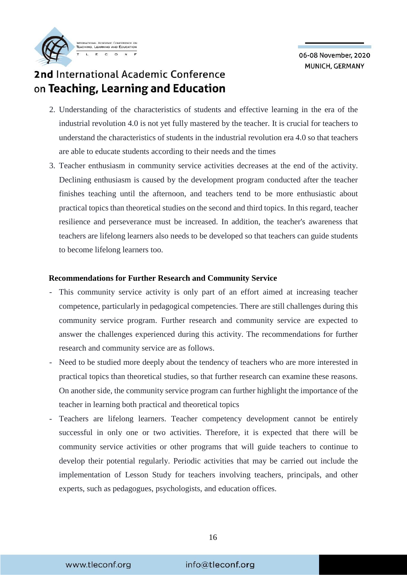- 2. Understanding of the characteristics of students and effective learning in the era of the industrial revolution 4.0 is not yet fully mastered by the teacher. It is crucial for teachers to understand the characteristics of students in the industrial revolution era 4.0 so that teachers are able to educate students according to their needs and the times
- 3. Teacher enthusiasm in community service activities decreases at the end of the activity. Declining enthusiasm is caused by the development program conducted after the teacher finishes teaching until the afternoon, and teachers tend to be more enthusiastic about practical topics than theoretical studies on the second and third topics. In this regard, teacher resilience and perseverance must be increased. In addition, the teacher's awareness that teachers are lifelong learners also needs to be developed so that teachers can guide students to become lifelong learners too.

#### **Recommendations for Further Research and Community Service**

- This community service activity is only part of an effort aimed at increasing teacher competence, particularly in pedagogical competencies. There are still challenges during this community service program. Further research and community service are expected to answer the challenges experienced during this activity. The recommendations for further research and community service are as follows.
- Need to be studied more deeply about the tendency of teachers who are more interested in practical topics than theoretical studies, so that further research can examine these reasons. On another side, the community service program can further highlight the importance of the teacher in learning both practical and theoretical topics
- Teachers are lifelong learners. Teacher competency development cannot be entirely successful in only one or two activities. Therefore, it is expected that there will be community service activities or other programs that will guide teachers to continue to develop their potential regularly. Periodic activities that may be carried out include the implementation of Lesson Study for teachers involving teachers, principals, and other experts, such as pedagogues, psychologists, and education offices.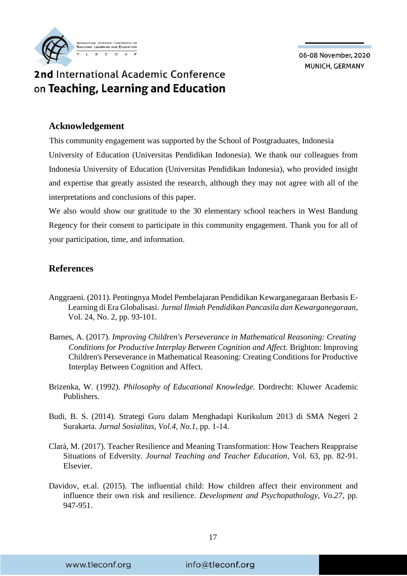

### **Acknowledgement**

This community engagement was supported by the School of Postgraduates, Indonesia University of Education (Universitas Pendidikan Indonesia). We thank our colleagues from Indonesia University of Education (Universitas Pendidikan Indonesia), who provided insight and expertise that greatly assisted the research, although they may not agree with all of the interpretations and conclusions of this paper.

We also would show our gratitude to the 30 elementary school teachers in West Bandung Regency for their consent to participate in this community engagement. Thank you for all of your participation, time, and information.

### **References**

- Anggraeni. (2011). Pentingnya Model Pembelajaran Pendidikan Kewarganegaraan Berbasis E-Learning di Era Globalisasi. *Jurnal Ilmiah Pendidikan Pancasila dan Kewarganegaraan*, Vol. 24, No. 2, pp. 93-101.
- Barnes, A. (2017). *Improving Children's Perseverance in Mathematical Reasoning: Creating Conditions for Productive Interplay Between Cognition and Affect.* Brighton: Improving Children's Perseverance in Mathematical Reasoning: Creating Conditions for Productive Interplay Between Cognition and Affect.
- Brizenka, W. (1992). *Philosophy of Educational Knowledge.* Dordrecht: Kluwer Academic Publishers.
- Budi, B. S. (2014). Strategi Guru dalam Menghadapi Kurikulum 2013 di SMA Negeri 2 Surakarta. *Jurnal Sosialitas, Vol.4, No.1*, pp. 1-14.
- [Clarà,](https://www.sciencedirect.com/science/article/abs/pii/S0742051X16308654#!) M. (2017). Teacher Resilience and Meaning Transformation: How Teachers Reappraise Situations of Edversity. *Journal Teaching and Teacher Education*, Vol. 63, pp. 82-91. Elsevier.
- Davidov, et.al. (2015). The influential child: How children affect their environment and influence their own risk and resilience. *Development and Psychopathology, Vo.27*, pp. 947-951.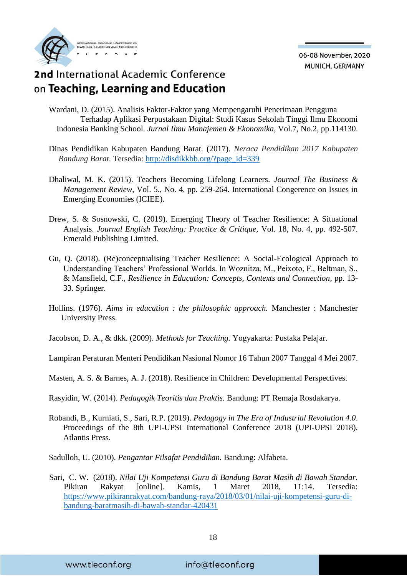## 2nd International Academic Conference on Teaching, Learning and Education

- Wardani, D. (2015). Analisis Faktor-Faktor yang Mempengaruhi Penerimaan Pengguna Terhadap Aplikasi Perpustakaan Digital: Studi Kasus Sekolah Tinggi Ilmu Ekonomi Indonesia Banking School. *Jurnal Ilmu Manajemen & Ekonomika*, Vol.7, No.2, pp.114130.
- Dinas Pendidikan Kabupaten Bandung Barat. (2017). *Neraca Pendidikan 2017 Kabupaten Bandung Barat*. Tersedia: [http://disdikkbb.org/?page\\_id=339](http://disdikkbb.org/?page_id=339)
- Dhaliwal, M. K. (2015). Teachers Becoming Lifelong Learners. *Journal The Business & Management Review*, Vol. 5., No. 4, pp. 259-264. International Congerence on Issues in Emerging Economies (ICIEE).
- Drew, S. & Sosnowski, C. (2019). Emerging Theory of Teacher Resilience: A Situational Analysis. *Journal English Teaching: Practice & Critique,* Vol. 18, No. 4, pp. 492-507. Emerald Publishing Limited.
- Gu, Q. (2018). (Re)conceptualising Teacher Resilience: A Social-Ecological Approach to Understanding Teachers' Professional Worlds. In Woznitza, M., Peixoto, F., Beltman, S., & Mansfield, C.F., *Resilience in Education: Concepts, Contexts and Connection*, pp. 13- 33. Springer.
- Hollins. (1976). *Aims in education : the philosophic approach.* Manchester : Manchester University Press.
- Jacobson, D. A., & dkk. (2009). *Methods for Teaching.* Yogyakarta: Pustaka Pelajar.
- Lampiran Peraturan Menteri Pendidikan Nasional Nomor 16 Tahun 2007 Tanggal 4 Mei 2007.
- Masten, A. S. & Barnes, A. J. (2018). Resilience in Children: Developmental Perspectives.
- Rasyidin, W. (2014). *Pedagogik Teoritis dan Praktis.* Bandung: PT Remaja Rosdakarya.
- Robandi, B., Kurniati, S., Sari, R.P. (2019). *Pedagogy in The Era of Industrial Revolution 4.0*. Proceedings of the 8th UPI-UPSI International Conference 2018 (UPI-UPSI 2018). Atlantis Press.
- Sadulloh, U. (2010). *Pengantar Filsafat Pendidikan.* Bandung: Alfabeta.
- Sari, C. W. (2018). *Nilai Uji Kompetensi Guru di Bandung Barat Masih di Bawah Standar.* Pikiran Rakyat [online]. Kamis, 1 Maret 2018, 11:14. Tersedia: [https://www.pikiranrakyat.com/bandung-raya/2018/03/01/nilai-uji-kompetensi-guru-di](https://www.pikiran-rakyat.com/bandung-raya/2018/03/01/nilai-uji-kompetensi-guru-di-bandung-barat-masih-di-bawah-standar-420431)[bandung-baratmasih-di-bawah-standar-420431](https://www.pikiran-rakyat.com/bandung-raya/2018/03/01/nilai-uji-kompetensi-guru-di-bandung-barat-masih-di-bawah-standar-420431)

www.tleconf.org

info@tleconf.org